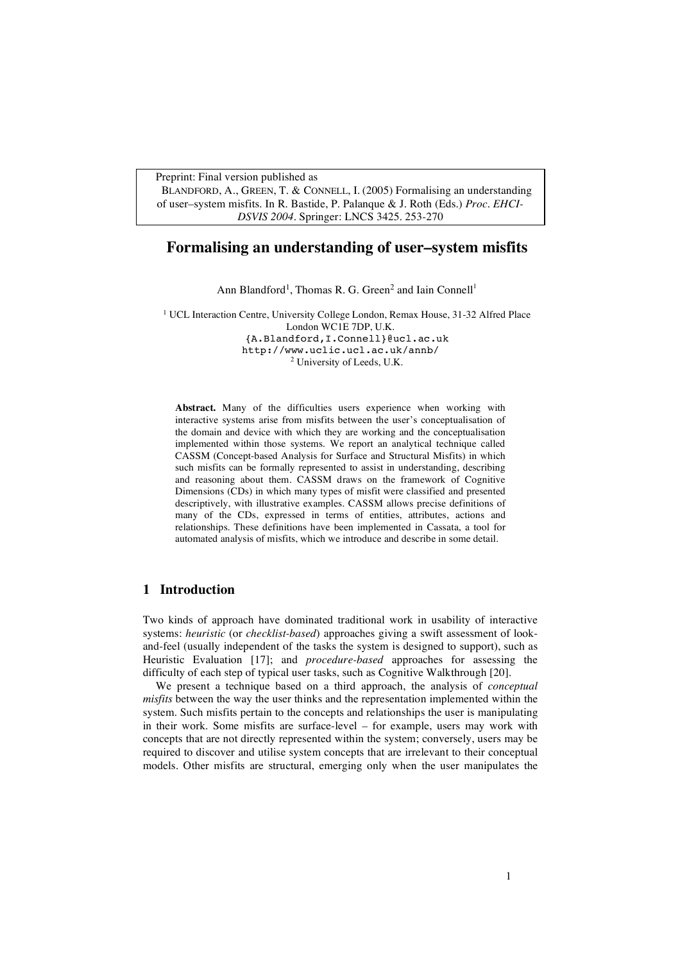Preprint: Final version published as

BLANDFORD, A., GREEN, T. & CONNELL, I. (2005) Formalising an understanding of user–system misfits. In R. Bastide, P. Palanque & J. Roth (Eds.) *Proc. EHCI-DSVIS 2004*. Springer: LNCS 3425. 253-270

# **Formalising an understanding of user–system misfits**

Ann Blandford<sup>1</sup>, Thomas R. G. Green<sup>2</sup> and Iain Connell<sup>1</sup>

 $1$  UCL Interaction Centre, University College London, Remax House, 31-32 Alfred Place London WC1E 7DP, U.K. {A.Blandford,I.Connell}@ucl.ac.uk http://www.uclic.ucl.ac.uk/annb/ <sup>2</sup> University of Leeds, U.K.

**Abstract.** Many of the difficulties users experience when working with interactive systems arise from misfits between the user's conceptualisation of the domain and device with which they are working and the conceptualisation implemented within those systems. We report an analytical technique called CASSM (Concept-based Analysis for Surface and Structural Misfits) in which such misfits can be formally represented to assist in understanding, describing and reasoning about them. CASSM draws on the framework of Cognitive Dimensions (CDs) in which many types of misfit were classified and presented descriptively, with illustrative examples. CASSM allows precise definitions of many of the CDs, expressed in terms of entities, attributes, actions and relationships. These definitions have been implemented in Cassata, a tool for automated analysis of misfits, which we introduce and describe in some detail.

## **1 Introduction**

Two kinds of approach have dominated traditional work in usability of interactive systems: *heuristic* (or *checklist-based*) approaches giving a swift assessment of lookand-feel (usually independent of the tasks the system is designed to support), such as Heuristic Evaluation [17]; and *procedure-based* approaches for assessing the difficulty of each step of typical user tasks, such as Cognitive Walkthrough [20].

We present a technique based on a third approach, the analysis of *conceptual misfits* between the way the user thinks and the representation implemented within the system. Such misfits pertain to the concepts and relationships the user is manipulating in their work. Some misfits are surface-level – for example, users may work with concepts that are not directly represented within the system; conversely, users may be required to discover and utilise system concepts that are irrelevant to their conceptual models. Other misfits are structural, emerging only when the user manipulates the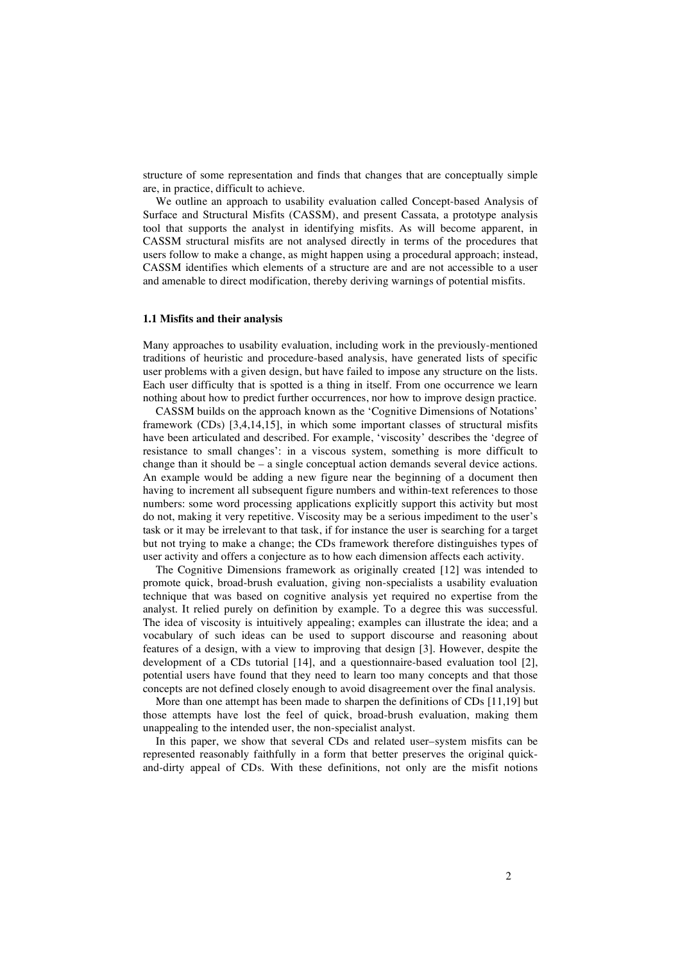structure of some representation and finds that changes that are conceptually simple are, in practice, difficult to achieve.

We outline an approach to usability evaluation called Concept-based Analysis of Surface and Structural Misfits (CASSM), and present Cassata, a prototype analysis tool that supports the analyst in identifying misfits. As will become apparent, in CASSM structural misfits are not analysed directly in terms of the procedures that users follow to make a change, as might happen using a procedural approach; instead, CASSM identifies which elements of a structure are and are not accessible to a user and amenable to direct modification, thereby deriving warnings of potential misfits.

### **1.1 Misfits and their analysis**

Many approaches to usability evaluation, including work in the previously-mentioned traditions of heuristic and procedure-based analysis, have generated lists of specific user problems with a given design, but have failed to impose any structure on the lists. Each user difficulty that is spotted is a thing in itself. From one occurrence we learn nothing about how to predict further occurrences, nor how to improve design practice.

CASSM builds on the approach known as the 'Cognitive Dimensions of Notations' framework (CDs) [3,4,14,15], in which some important classes of structural misfits have been articulated and described. For example, 'viscosity' describes the 'degree of resistance to small changes': in a viscous system, something is more difficult to change than it should be – a single conceptual action demands several device actions. An example would be adding a new figure near the beginning of a document then having to increment all subsequent figure numbers and within-text references to those numbers: some word processing applications explicitly support this activity but most do not, making it very repetitive. Viscosity may be a serious impediment to the user's task or it may be irrelevant to that task, if for instance the user is searching for a target but not trying to make a change; the CDs framework therefore distinguishes types of user activity and offers a conjecture as to how each dimension affects each activity.

The Cognitive Dimensions framework as originally created [12] was intended to promote quick, broad-brush evaluation, giving non-specialists a usability evaluation technique that was based on cognitive analysis yet required no expertise from the analyst. It relied purely on definition by example. To a degree this was successful. The idea of viscosity is intuitively appealing; examples can illustrate the idea; and a vocabulary of such ideas can be used to support discourse and reasoning about features of a design, with a view to improving that design [3]. However, despite the development of a CDs tutorial [14], and a questionnaire-based evaluation tool [2], potential users have found that they need to learn too many concepts and that those concepts are not defined closely enough to avoid disagreement over the final analysis.

More than one attempt has been made to sharpen the definitions of CDs [11,19] but those attempts have lost the feel of quick, broad-brush evaluation, making them unappealing to the intended user, the non-specialist analyst.

In this paper, we show that several CDs and related user–system misfits can be represented reasonably faithfully in a form that better preserves the original quickand-dirty appeal of CDs. With these definitions, not only are the misfit notions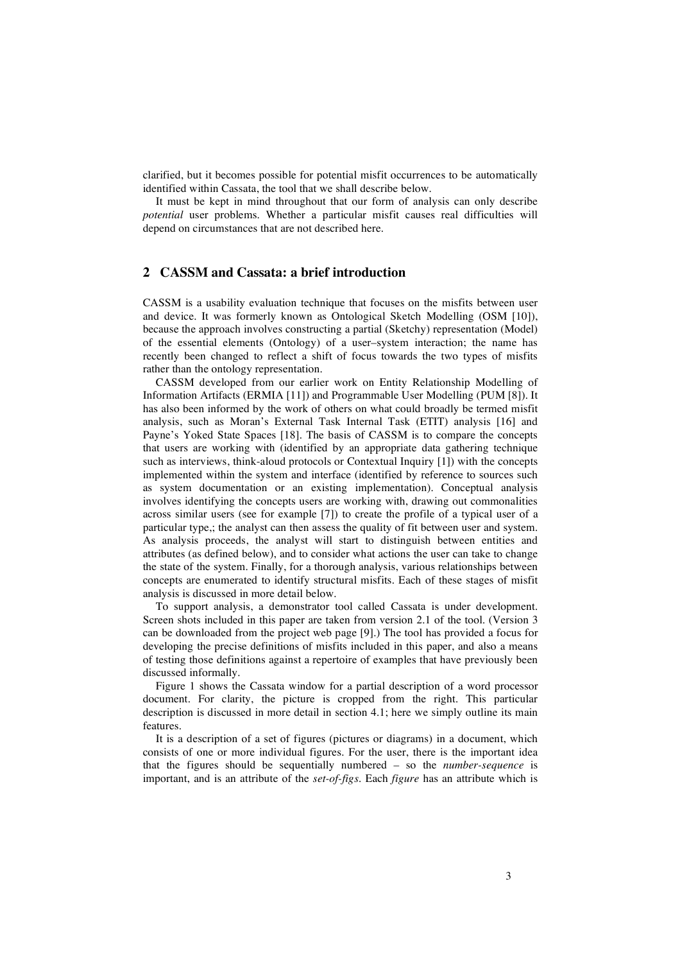clarified, but it becomes possible for potential misfit occurrences to be automatically identified within Cassata, the tool that we shall describe below.

It must be kept in mind throughout that our form of analysis can only describe *potential* user problems. Whether a particular misfit causes real difficulties will depend on circumstances that are not described here.

## **2 CASSM and Cassata: a brief introduction**

CASSM is a usability evaluation technique that focuses on the misfits between user and device. It was formerly known as Ontological Sketch Modelling (OSM [10]), because the approach involves constructing a partial (Sketchy) representation (Model) of the essential elements (Ontology) of a user–system interaction; the name has recently been changed to reflect a shift of focus towards the two types of misfits rather than the ontology representation.

CASSM developed from our earlier work on Entity Relationship Modelling of Information Artifacts (ERMIA [11]) and Programmable User Modelling (PUM [8]). It has also been informed by the work of others on what could broadly be termed misfit analysis, such as Moran's External Task Internal Task (ETIT) analysis [16] and Payne's Yoked State Spaces [18]. The basis of CASSM is to compare the concepts that users are working with (identified by an appropriate data gathering technique such as interviews, think-aloud protocols or Contextual Inquiry [1]) with the concepts implemented within the system and interface (identified by reference to sources such as system documentation or an existing implementation). Conceptual analysis involves identifying the concepts users are working with, drawing out commonalities across similar users (see for example [7]) to create the profile of a typical user of a particular type,; the analyst can then assess the quality of fit between user and system. As analysis proceeds, the analyst will start to distinguish between entities and attributes (as defined below), and to consider what actions the user can take to change the state of the system. Finally, for a thorough analysis, various relationships between concepts are enumerated to identify structural misfits. Each of these stages of misfit analysis is discussed in more detail below.

To support analysis, a demonstrator tool called Cassata is under development. Screen shots included in this paper are taken from version 2.1 of the tool. (Version 3 can be downloaded from the project web page [9].) The tool has provided a focus for developing the precise definitions of misfits included in this paper, and also a means of testing those definitions against a repertoire of examples that have previously been discussed informally.

Figure 1 shows the Cassata window for a partial description of a word processor document. For clarity, the picture is cropped from the right. This particular description is discussed in more detail in section 4.1; here we simply outline its main features.

It is a description of a set of figures (pictures or diagrams) in a document, which consists of one or more individual figures. For the user, there is the important idea that the figures should be sequentially numbered – so the *number-sequence* is important, and is an attribute of the *set-of-figs*. Each *figure* has an attribute which is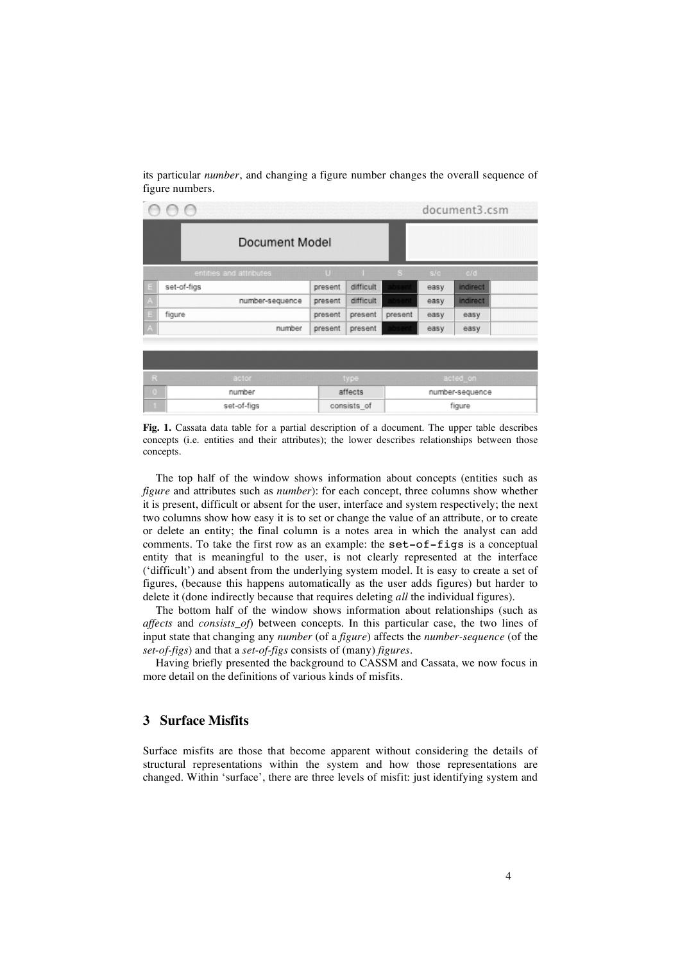|   |                         |         | document3.csm |         |                 |                 |  |  |
|---|-------------------------|---------|---------------|---------|-----------------|-----------------|--|--|
|   | Document Model          |         |               |         |                 |                 |  |  |
|   | entities and attributes | ш       |               | s       | S/C             | c/d             |  |  |
|   | set-of-figs             | present | difficult     |         | easy            | <i>indirect</i> |  |  |
|   | number-sequence         | present | difficult     |         | easy            | <b>indirect</b> |  |  |
|   | figure                  | present | present       | present | easy            | easy            |  |  |
| A | number                  | present | present       |         | easy            | easy            |  |  |
|   |                         |         |               |         |                 |                 |  |  |
|   |                         |         |               |         |                 |                 |  |  |
| R | actor                   |         | type.         |         | acted on        |                 |  |  |
| o | number                  |         | affects       |         | number-sequence |                 |  |  |
|   | set-of-figs             |         | consists of   |         | figure          |                 |  |  |

its particular *number*, and changing a figure number changes the overall sequence of figure numbers.

**Fig. 1.** Cassata data table for a partial description of a document. The upper table describes concepts (i.e. entities and their attributes); the lower describes relationships between those concepts.

The top half of the window shows information about concepts (entities such as *figure* and attributes such as *number*): for each concept, three columns show whether it is present, difficult or absent for the user, interface and system respectively; the next two columns show how easy it is to set or change the value of an attribute, or to create or delete an entity; the final column is a notes area in which the analyst can add comments. To take the first row as an example: the set-of-figs is a conceptual entity that is meaningful to the user, is not clearly represented at the interface ('difficult') and absent from the underlying system model. It is easy to create a set of figures, (because this happens automatically as the user adds figures) but harder to delete it (done indirectly because that requires deleting *all* the individual figures).

The bottom half of the window shows information about relationships (such as *affects* and *consists of*) between concepts. In this particular case, the two lines of input state that changing any *number* (of a *figure*) affects the *number-sequence* (of the *set-of-figs*) and that a *set-of-figs* consists of (many) *figures*.

Having briefly presented the background to CASSM and Cassata, we now focus in more detail on the definitions of various kinds of misfits.

# **3 Surface Misfits**

Surface misfits are those that become apparent without considering the details of structural representations within the system and how those representations are changed. Within 'surface', there are three levels of misfit: just identifying system and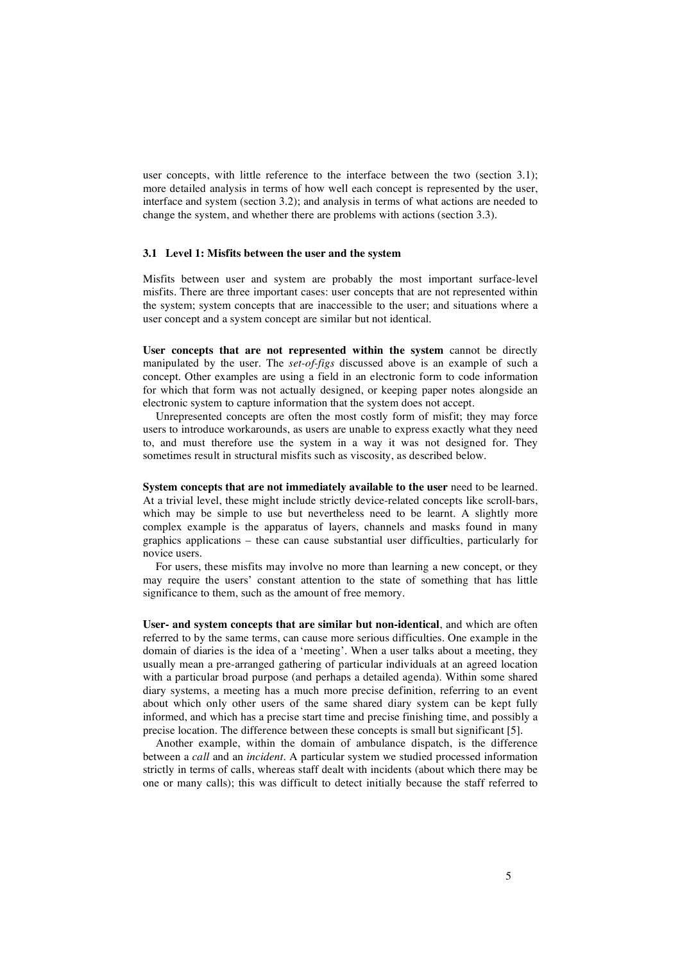user concepts, with little reference to the interface between the two (section 3.1); more detailed analysis in terms of how well each concept is represented by the user, interface and system (section 3.2); and analysis in terms of what actions are needed to change the system, and whether there are problems with actions (section 3.3).

#### **3.1 Level 1: Misfits between the user and the system**

Misfits between user and system are probably the most important surface-level misfits. There are three important cases: user concepts that are not represented within the system; system concepts that are inaccessible to the user; and situations where a user concept and a system concept are similar but not identical.

**User concepts that are not represented within the system** cannot be directly manipulated by the user. The *set-of-figs* discussed above is an example of such a concept. Other examples are using a field in an electronic form to code information for which that form was not actually designed, or keeping paper notes alongside an electronic system to capture information that the system does not accept.

Unrepresented concepts are often the most costly form of misfit; they may force users to introduce workarounds, as users are unable to express exactly what they need to, and must therefore use the system in a way it was not designed for. They sometimes result in structural misfits such as viscosity, as described below.

**System concepts that are not immediately available to the user** need to be learned. At a trivial level, these might include strictly device-related concepts like scroll-bars, which may be simple to use but nevertheless need to be learnt. A slightly more complex example is the apparatus of layers, channels and masks found in many graphics applications – these can cause substantial user difficulties, particularly for novice users.

For users, these misfits may involve no more than learning a new concept, or they may require the users' constant attention to the state of something that has little significance to them, such as the amount of free memory.

**User- and system concepts that are similar but non-identical**, and which are often referred to by the same terms, can cause more serious difficulties. One example in the domain of diaries is the idea of a 'meeting'. When a user talks about a meeting, they usually mean a pre-arranged gathering of particular individuals at an agreed location with a particular broad purpose (and perhaps a detailed agenda). Within some shared diary systems, a meeting has a much more precise definition, referring to an event about which only other users of the same shared diary system can be kept fully informed, and which has a precise start time and precise finishing time, and possibly a precise location. The difference between these concepts is small but significant [5].

Another example, within the domain of ambulance dispatch, is the difference between a *call* and an *incident*. A particular system we studied processed information strictly in terms of calls, whereas staff dealt with incidents (about which there may be one or many calls); this was difficult to detect initially because the staff referred to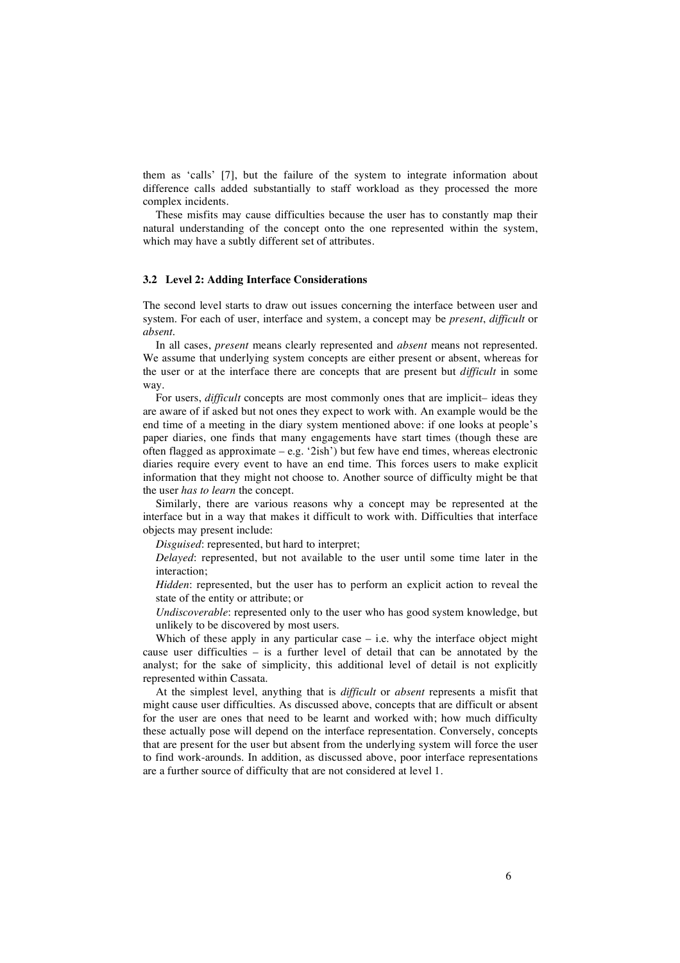them as 'calls' [7], but the failure of the system to integrate information about difference calls added substantially to staff workload as they processed the more complex incidents.

These misfits may cause difficulties because the user has to constantly map their natural understanding of the concept onto the one represented within the system, which may have a subtly different set of attributes.

### **3.2 Level 2: Adding Interface Considerations**

The second level starts to draw out issues concerning the interface between user and system. For each of user, interface and system, a concept may be *present*, *difficult* or *absent.*

In all cases, *present* means clearly represented and *absent* means not represented. We assume that underlying system concepts are either present or absent, whereas for the user or at the interface there are concepts that are present but *difficult* in some way.

For users, *difficult* concepts are most commonly ones that are implicit- ideas they are aware of if asked but not ones they expect to work with. An example would be the end time of a meeting in the diary system mentioned above: if one looks at people's paper diaries, one finds that many engagements have start times (though these are often flagged as approximate – e.g. '2ish') but few have end times, whereas electronic diaries require every event to have an end time. This forces users to make explicit information that they might not choose to. Another source of difficulty might be that the user *has to learn* the concept.

Similarly, there are various reasons why a concept may be represented at the interface but in a way that makes it difficult to work with. Difficulties that interface objects may present include:

*Disguised*: represented, but hard to interpret;

 *Delayed*: represented, but not available to the user until some time later in the interaction;

 *Hidden*: represented, but the user has to perform an explicit action to reveal the state of the entity or attribute; or

 *Undiscoverable*: represented only to the user who has good system knowledge, but unlikely to be discovered by most users.

Which of these apply in any particular case  $-$  i.e. why the interface object might cause user difficulties – is a further level of detail that can be annotated by the analyst; for the sake of simplicity, this additional level of detail is not explicitly represented within Cassata.

At the simplest level, anything that is *difficult* or *absent* represents a misfit that might cause user difficulties. As discussed above, concepts that are difficult or absent for the user are ones that need to be learnt and worked with; how much difficulty these actually pose will depend on the interface representation. Conversely, concepts that are present for the user but absent from the underlying system will force the user to find work-arounds. In addition, as discussed above, poor interface representations are a further source of difficulty that are not considered at level 1.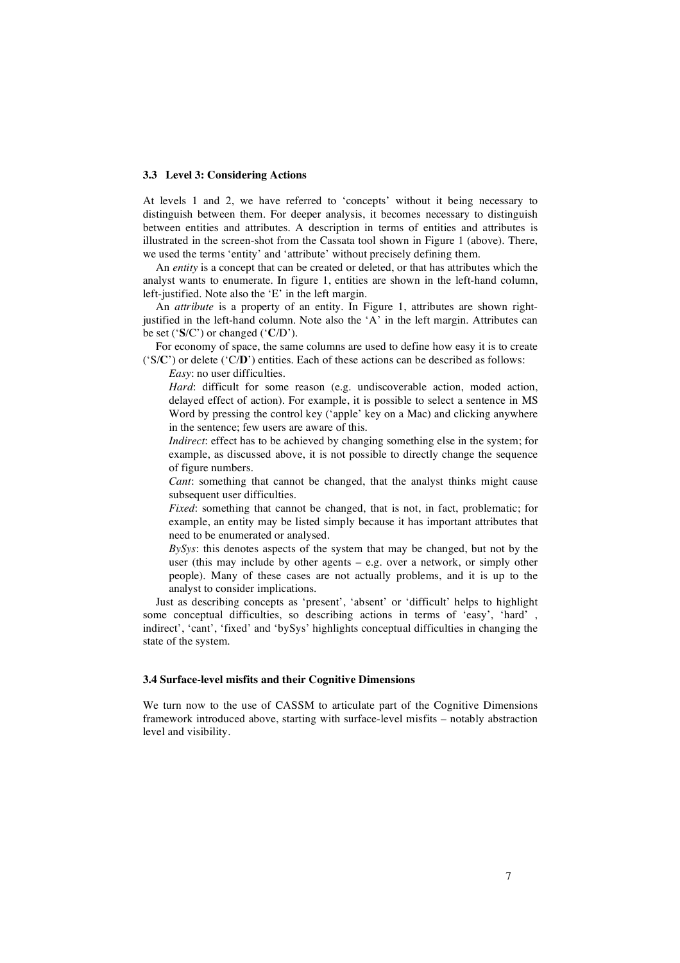### **3.3 Level 3: Considering Actions**

At levels 1 and 2, we have referred to 'concepts' without it being necessary to distinguish between them. For deeper analysis, it becomes necessary to distinguish between entities and attributes. A description in terms of entities and attributes is illustrated in the screen-shot from the Cassata tool shown in Figure 1 (above). There, we used the terms 'entity' and 'attribute' without precisely defining them.

An *entity* is a concept that can be created or deleted, or that has attributes which the analyst wants to enumerate. In figure 1, entities are shown in the left-hand column, left-justified. Note also the 'E' in the left margin.

An *attribute* is a property of an entity. In Figure 1, attributes are shown rightjustified in the left-hand column. Note also the 'A' in the left margin. Attributes can be set ('**S**/C') or changed ('**C**/D').

For economy of space, the same columns are used to define how easy it is to create ('S/**C**') or delete ('C/**D**') entities. Each of these actions can be described as follows:

*Easy*: no user difficulties.

 *Hard*: difficult for some reason (e.g. undiscoverable action, moded action, delayed effect of action). For example, it is possible to select a sentence in MS Word by pressing the control key ('apple' key on a Mac) and clicking anywhere in the sentence; few users are aware of this.

 *Indirect*: effect has to be achieved by changing something else in the system; for example, as discussed above, it is not possible to directly change the sequence of figure numbers.

 *Cant*: something that cannot be changed, that the analyst thinks might cause subsequent user difficulties.

 *Fixed*: something that cannot be changed, that is not, in fact, problematic; for example, an entity may be listed simply because it has important attributes that need to be enumerated or analysed.

 *BySys*: this denotes aspects of the system that may be changed, but not by the user (this may include by other agents – e.g. over a network, or simply other people). Many of these cases are not actually problems, and it is up to the analyst to consider implications.

Just as describing concepts as 'present', 'absent' or 'difficult' helps to highlight some conceptual difficulties, so describing actions in terms of 'easy', 'hard' indirect', 'cant', 'fixed' and 'bySys' highlights conceptual difficulties in changing the state of the system.

#### **3.4 Surface-level misfits and their Cognitive Dimensions**

We turn now to the use of CASSM to articulate part of the Cognitive Dimensions framework introduced above, starting with surface-level misfits – notably abstraction level and visibility.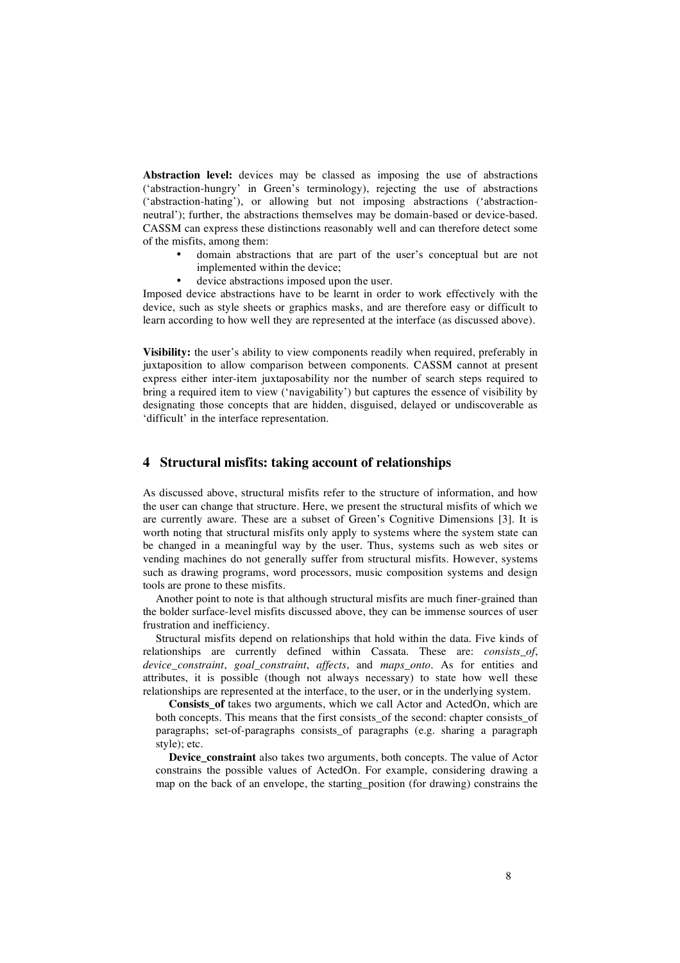**Abstraction level:** devices may be classed as imposing the use of abstractions ('abstraction-hungry' in Green's terminology), rejecting the use of abstractions ('abstraction-hating'), or allowing but not imposing abstractions ('abstractionneutral'); further, the abstractions themselves may be domain-based or device-based. CASSM can express these distinctions reasonably well and can therefore detect some of the misfits, among them:

- domain abstractions that are part of the user's conceptual but are not implemented within the device;
- device abstractions imposed upon the user.

Imposed device abstractions have to be learnt in order to work effectively with the device, such as style sheets or graphics masks, and are therefore easy or difficult to learn according to how well they are represented at the interface (as discussed above).

**Visibility:** the user's ability to view components readily when required, preferably in juxtaposition to allow comparison between components. CASSM cannot at present express either inter-item juxtaposability nor the number of search steps required to bring a required item to view ('navigability') but captures the essence of visibility by designating those concepts that are hidden, disguised, delayed or undiscoverable as 'difficult' in the interface representation.

## **4 Structural misfits: taking account of relationships**

As discussed above, structural misfits refer to the structure of information, and how the user can change that structure. Here, we present the structural misfits of which we are currently aware. These are a subset of Green's Cognitive Dimensions [3]. It is worth noting that structural misfits only apply to systems where the system state can be changed in a meaningful way by the user. Thus, systems such as web sites or vending machines do not generally suffer from structural misfits. However, systems such as drawing programs, word processors, music composition systems and design tools are prone to these misfits.

Another point to note is that although structural misfits are much finer-grained than the bolder surface-level misfits discussed above, they can be immense sources of user frustration and inefficiency.

Structural misfits depend on relationships that hold within the data. Five kinds of relationships are currently defined within Cassata. These are: *consists\_of*, *device\_constraint*, *goal\_constraint*, *affects*, and *maps\_onto*. As for entities and attributes, it is possible (though not always necessary) to state how well these relationships are represented at the interface, to the user, or in the underlying system.

**Consists\_of** takes two arguments, which we call Actor and ActedOn, which are both concepts. This means that the first consists\_of the second: chapter consists\_of paragraphs; set-of-paragraphs consists\_of paragraphs (e.g. sharing a paragraph style); etc.

**Device constraint** also takes two arguments, both concepts. The value of Actor constrains the possible values of ActedOn. For example, considering drawing a map on the back of an envelope, the starting position (for drawing) constrains the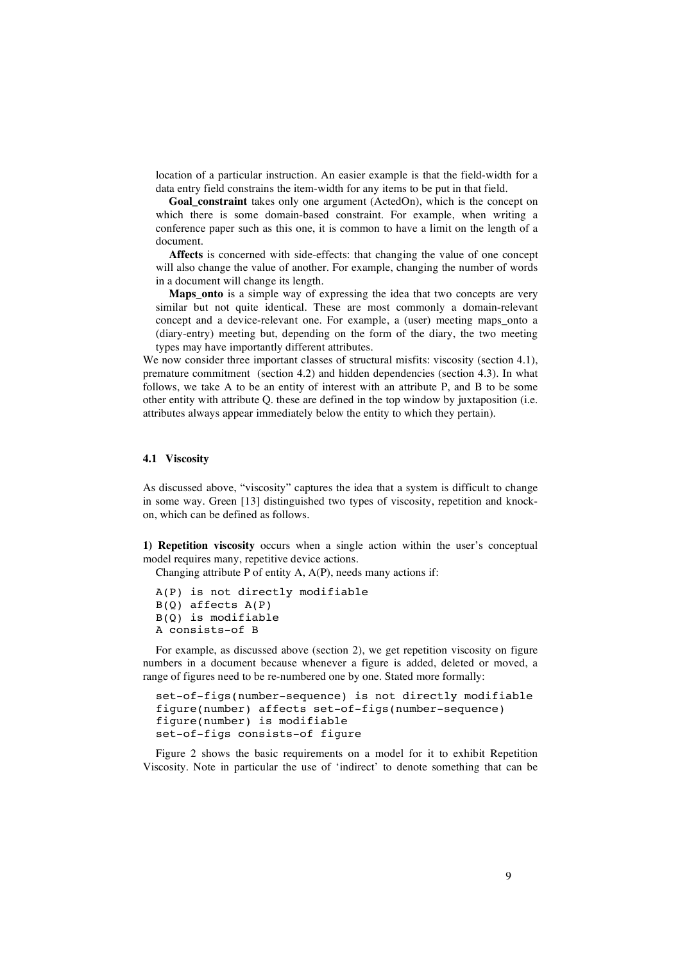location of a particular instruction. An easier example is that the field-width for a data entry field constrains the item-width for any items to be put in that field.

Goal constraint takes only one argument (ActedOn), which is the concept on which there is some domain-based constraint. For example, when writing a conference paper such as this one, it is common to have a limit on the length of a document.

**Affects** is concerned with side-effects: that changing the value of one concept will also change the value of another. For example, changing the number of words in a document will change its length.

**Maps** onto is a simple way of expressing the idea that two concepts are very similar but not quite identical. These are most commonly a domain-relevant concept and a device-relevant one. For example, a (user) meeting maps\_onto a (diary-entry) meeting but, depending on the form of the diary, the two meeting types may have importantly different attributes.

We now consider three important classes of structural misfits: viscosity (section 4.1), premature commitment (section 4.2) and hidden dependencies (section 4.3). In what follows, we take A to be an entity of interest with an attribute P, and B to be some other entity with attribute Q. these are defined in the top window by juxtaposition (i.e. attributes always appear immediately below the entity to which they pertain).

### **4.1 Viscosity**

As discussed above, "viscosity" captures the idea that a system is difficult to change in some way. Green [13] distinguished two types of viscosity, repetition and knockon, which can be defined as follows.

**1) Repetition viscosity** occurs when a single action within the user's conceptual model requires many, repetitive device actions.

Changing attribute P of entity A, A(P), needs many actions if:

A(P) is not directly modifiable  $B(Q)$  affects  $A(P)$  $B(Q)$  is modifiable A consists-of B

For example, as discussed above (section 2), we get repetition viscosity on figure numbers in a document because whenever a figure is added, deleted or moved, a range of figures need to be re-numbered one by one. Stated more formally:

```
set-of-figs(number-sequence) is not directly modifiable
figure(number) affects set-of-figs(number-sequence)
figure(number) is modifiable
set-of-figs consists-of figure
```
Figure 2 shows the basic requirements on a model for it to exhibit Repetition Viscosity. Note in particular the use of 'indirect' to denote something that can be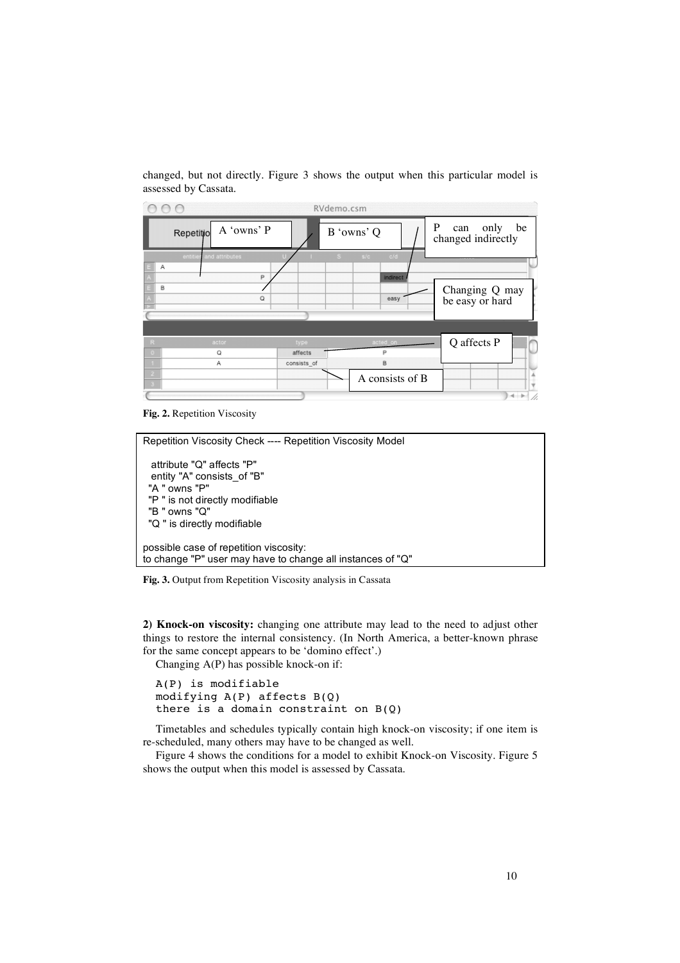changed, but not directly. Figure 3 shows the output when this particular model is assessed by Cassata.



**Fig. 2.** Repetition Viscosity

Repetition Viscosity Check ---- Repetition Viscosity Model attribute "Q" affects "P" entity "A" consists\_of "B" "A " owns "P" "P " is not directly modifiable "B " owns "Q" "Q " is directly modifiable possible case of repetition viscosity: to change "P" user may have to change all instances of "Q"

**Fig. 3.** Output from Repetition Viscosity analysis in Cassata

**2) Knock-on viscosity:** changing one attribute may lead to the need to adjust other things to restore the internal consistency. (In North America, a better-known phrase for the same concept appears to be 'domino effect'.)

Changing A(P) has possible knock-on if:

A(P) is modifiable modifying A(P) affects B(Q) there is a domain constraint on B(Q)

Timetables and schedules typically contain high knock-on viscosity; if one item is re-scheduled, many others may have to be changed as well.

Figure 4 shows the conditions for a model to exhibit Knock-on Viscosity. Figure 5 shows the output when this model is assessed by Cassata.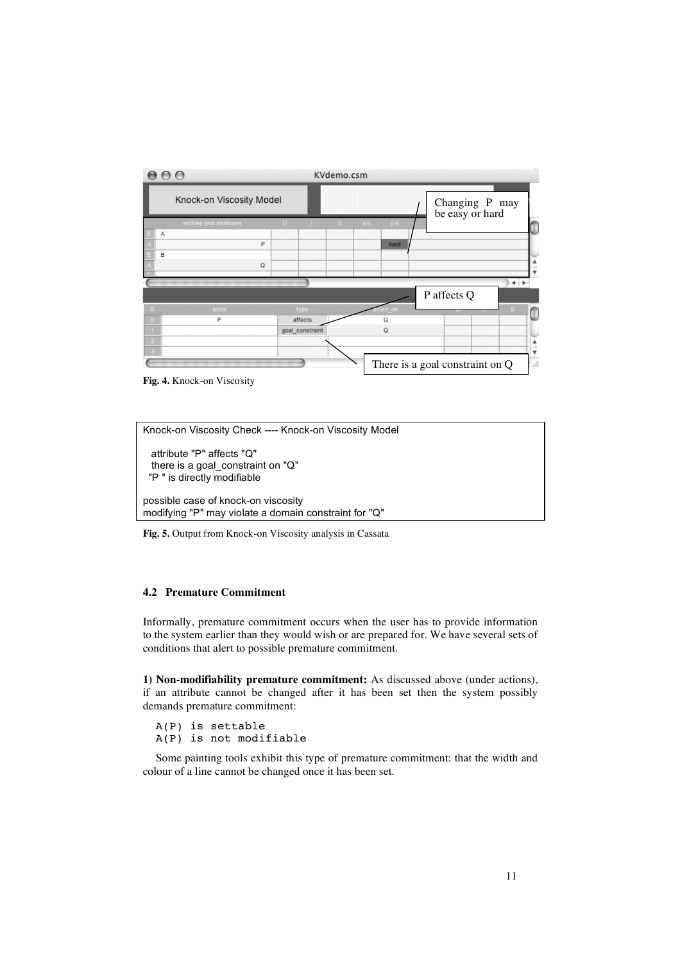

**Fig. 4.** Knock-on Viscosity

```
Knock-on Viscosity Check ---- Knock-on Viscosity Model
 attribute "P" affects "Q"
 there is a goal_constraint on "Q"
"P " is directly modifiable
possible case of knock-on viscosity
modifying "P" may violate a domain constraint for "Q"
```
**Fig. 5.** Output from Knock-on Viscosity analysis in Cassata

### **4.2 Premature Commitment**

Informally, premature commitment occurs when the user has to provide information to the system earlier than they would wish or are prepared for. We have several sets of conditions that alert to possible premature commitment.

**1) Non-modifiability premature commitment:** As discussed above (under actions), if an attribute cannot be changed after it has been set then the system possibly demands premature commitment:

```
A(P) is settable
A(P) is not modifiable
```
Some painting tools exhibit this type of premature commitment: that the width and colour of a line cannot be changed once it has been set.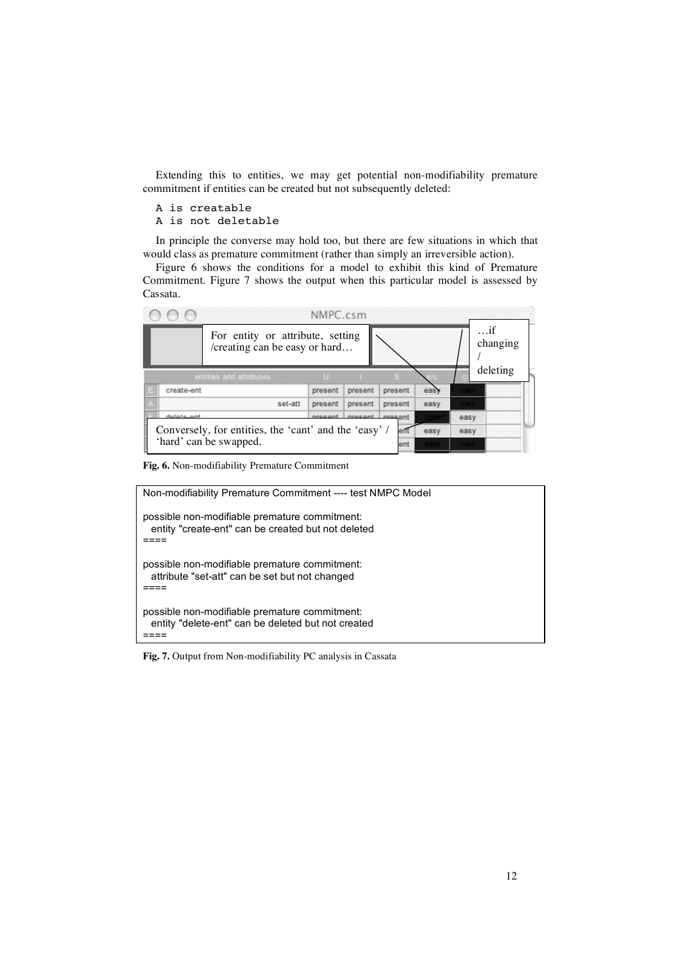Extending this to entities, we may get potential non-modifiability premature commitment if entities can be created but not subsequently deleted:

A is creatable A is not deletable

In principle the converse may hold too, but there are few situations in which that would class as premature commitment (rather than simply an irreversible action).

Figure 6 shows the conditions for a model to exhibit this kind of Premature Commitment. Figure 7 shows the output when this particular model is assessed by Cassata.

|            |                                                       | NMPC.csm                                                          |         |                  |      |      |                        |
|------------|-------------------------------------------------------|-------------------------------------------------------------------|---------|------------------|------|------|------------------------|
|            |                                                       | For entity or attribute, setting<br>/creating can be easy or hard |         |                  |      |      | $\dots$ if<br>changing |
|            | entities and attributes                               |                                                                   |         |                  |      |      | deleting               |
| create-ent |                                                       | present                                                           | present | present          | easy |      |                        |
|            | set-att                                               | present                                                           | present | present          | easy |      |                        |
| dalata ant |                                                       | nnocont                                                           |         | procent necessit |      | easy |                        |
|            | Conversely, for entities, the 'cant' and the 'easy' / |                                                                   |         |                  | easy | easy |                        |
|            | 'hard' can be swapped.                                |                                                                   |         | ent              |      |      |                        |

**Fig. 6.** Non-modifiability Premature Commitment

| Non-modifiability Premature Commitment ---- test NMPC Model                                         |
|-----------------------------------------------------------------------------------------------------|
| possible non-modifiable premature commitment:<br>entity "create-ent" can be created but not deleted |
| possible non-modifiable premature commitment:<br>attribute "set-att" can be set but not changed     |
| possible non-modifiable premature commitment:<br>entity "delete-ent" can be deleted but not created |

**Fig. 7.** Output from Non-modifiability PC analysis in Cassata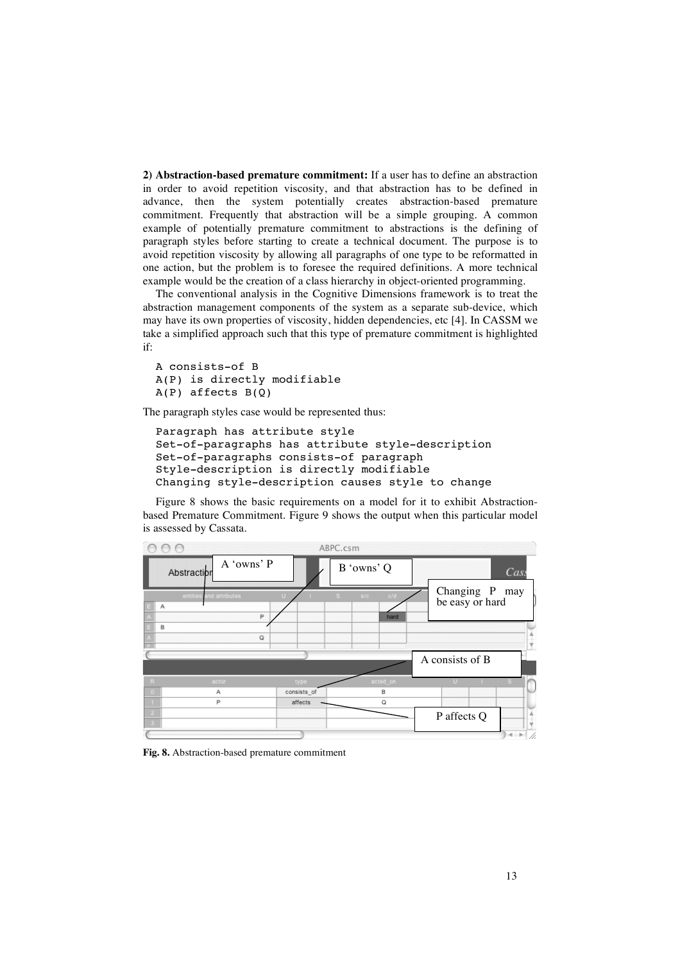**2) Abstraction-based premature commitment:** If a user has to define an abstraction in order to avoid repetition viscosity, and that abstraction has to be defined in advance, then the system potentially creates abstraction-based premature commitment. Frequently that abstraction will be a simple grouping. A common example of potentially premature commitment to abstractions is the defining of paragraph styles before starting to create a technical document. The purpose is to avoid repetition viscosity by allowing all paragraphs of one type to be reformatted in one action, but the problem is to foresee the required definitions. A more technical example would be the creation of a class hierarchy in object-oriented programming.

The conventional analysis in the Cognitive Dimensions framework is to treat the abstraction management components of the system as a separate sub-device, which may have its own properties of viscosity, hidden dependencies, etc [4]. In CASSM we take a simplified approach such that this type of premature commitment is highlighted if:

```
A consists-of B
A(P) is directly modifiable
A(P) affects B(Q)
```
The paragraph styles case would be represented thus:

```
Paragraph has attribute style
Set-of-paragraphs has attribute style-description
Set-of-paragraphs consists-of paragraph
Style-description is directly modifiable
Changing style-description causes style to change
```
Figure 8 shows the basic requirements on a model for it to exhibit Abstractionbased Premature Commitment. Figure 9 shows the output when this particular model is assessed by Cassata.



**Fig. 8.** Abstraction-based premature commitment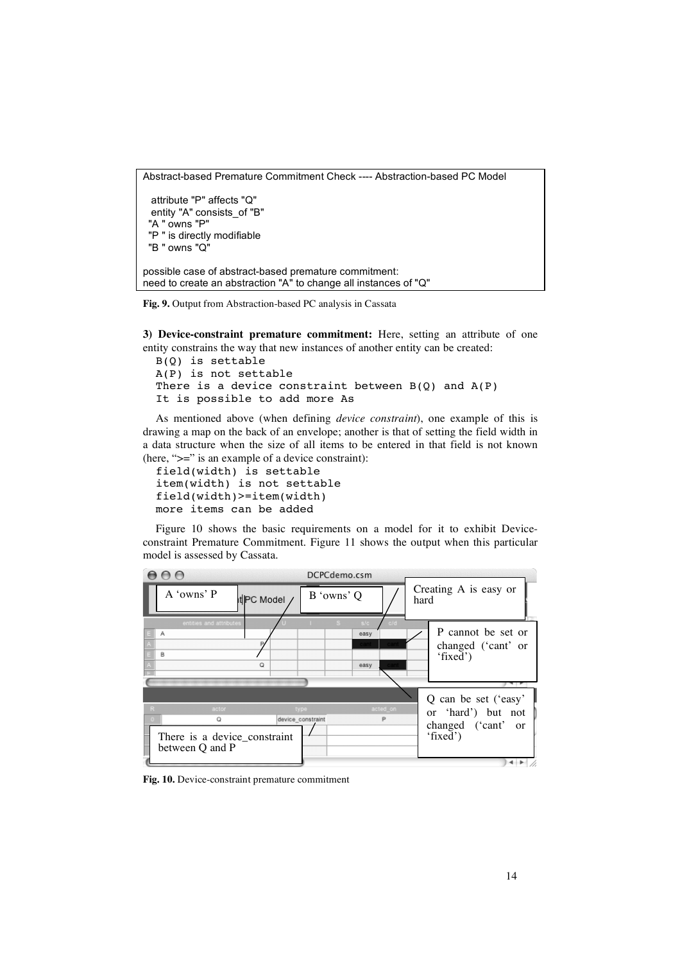```
Abstract-based Premature Commitment Check ---- Abstraction-based PC Model
 attribute "P" affects "Q"
 entity "A" consists_of "B"
 "A " owns "P"
 "P " is directly modifiable
 "B " owns "Q"
possible case of abstract-based premature commitment:
need to create an abstraction "A" to change all instances of "Q"
```
**Fig. 9.** Output from Abstraction-based PC analysis in Cassata

**3) Device-constraint premature commitment:** Here, setting an attribute of one entity constrains the way that new instances of another entity can be created:

```
B(Q) is settable
A(P) is not settable
There is a device constraint between B(Q) and A(P)It is possible to add more As
```
As mentioned above (when defining *device constraint*), one example of this is drawing a map on the back of an envelope; another is that of setting the field width in a data structure when the size of all items to be entered in that field is not known (here, ">=" is an example of a device constraint):

```
field(width) is settable
item(width) is not settable
field(width)>=item(width)
more items can be added
```
Figure 10 shows the basic requirements on a model for it to exhibit Deviceconstraint Premature Commitment. Figure 11 shows the output when this particular model is assessed by Cassata.



**Fig. 10.** Device-constraint premature commitment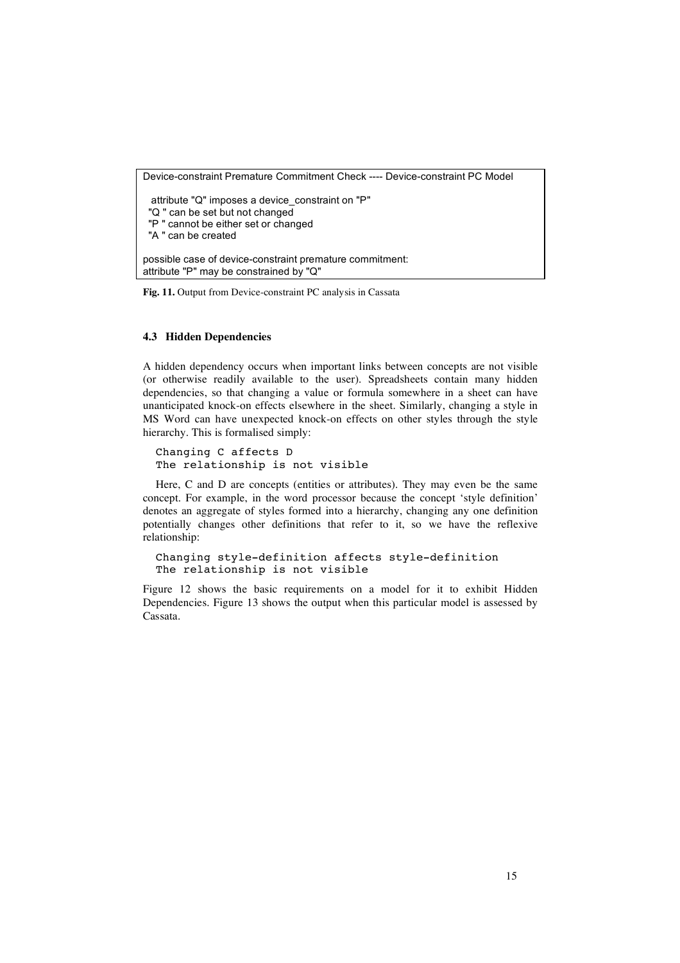```
Device-constraint Premature Commitment Check ---- Device-constraint PC Model
 attribute "Q" imposes a device_constraint on "P"
 "Q " can be set but not changed
"P " cannot be either set or changed
"A " can be created
possible case of device-constraint premature commitment:
attribute "P" may be constrained by "Q"
```
**Fig. 11.** Output from Device-constraint PC analysis in Cassata

### **4.3 Hidden Dependencies**

A hidden dependency occurs when important links between concepts are not visible (or otherwise readily available to the user). Spreadsheets contain many hidden dependencies, so that changing a value or formula somewhere in a sheet can have unanticipated knock-on effects elsewhere in the sheet. Similarly, changing a style in MS Word can have unexpected knock-on effects on other styles through the style hierarchy. This is formalised simply:

```
Changing C affects D
The relationship is not visible
```
Here, C and D are concepts (entities or attributes). They may even be the same concept. For example, in the word processor because the concept 'style definition' denotes an aggregate of styles formed into a hierarchy, changing any one definition potentially changes other definitions that refer to it, so we have the reflexive relationship:

```
Changing style-definition affects style-definition
The relationship is not visible
```
Figure 12 shows the basic requirements on a model for it to exhibit Hidden Dependencies. Figure 13 shows the output when this particular model is assessed by Cassata.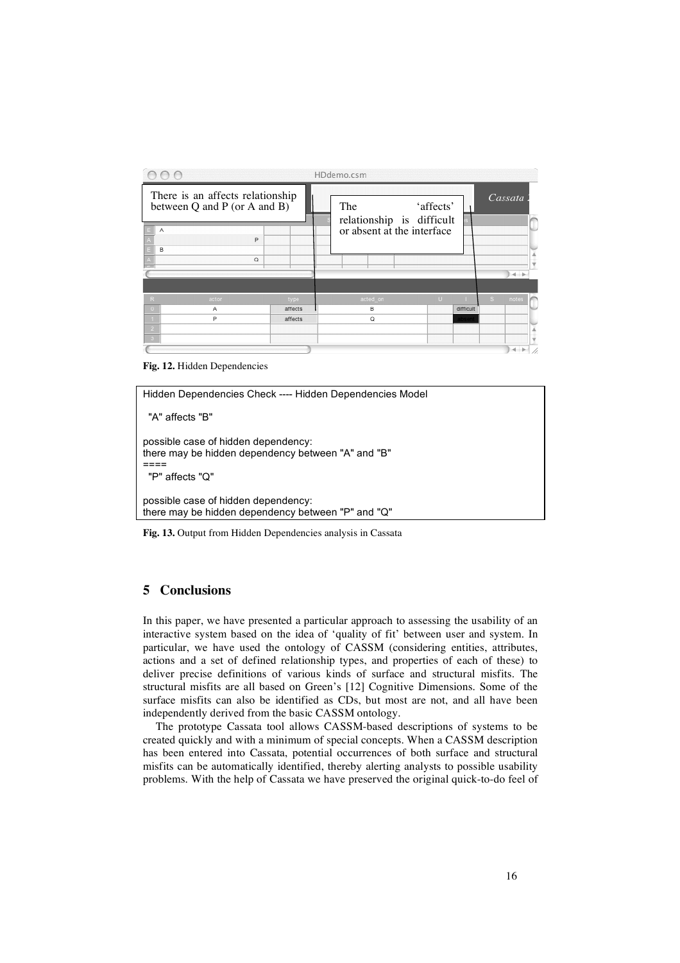

**Fig. 12.** Hidden Dependencies



**Fig. 13.** Output from Hidden Dependencies analysis in Cassata

## **5 Conclusions**

In this paper, we have presented a particular approach to assessing the usability of an interactive system based on the idea of 'quality of fit' between user and system. In particular, we have used the ontology of CASSM (considering entities, attributes, actions and a set of defined relationship types, and properties of each of these) to deliver precise definitions of various kinds of surface and structural misfits. The structural misfits are all based on Green's [12] Cognitive Dimensions. Some of the surface misfits can also be identified as CDs, but most are not, and all have been independently derived from the basic CASSM ontology.

The prototype Cassata tool allows CASSM-based descriptions of systems to be created quickly and with a minimum of special concepts. When a CASSM description has been entered into Cassata, potential occurrences of both surface and structural misfits can be automatically identified, thereby alerting analysts to possible usability problems. With the help of Cassata we have preserved the original quick-to-do feel of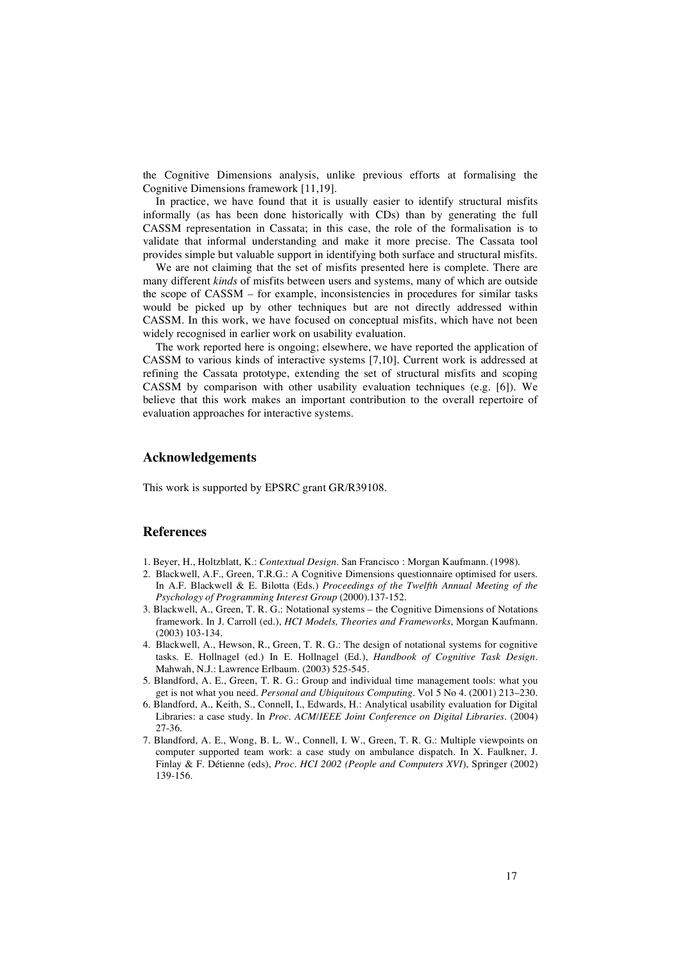the Cognitive Dimensions analysis, unlike previous efforts at formalising the Cognitive Dimensions framework [11,19].

In practice, we have found that it is usually easier to identify structural misfits informally (as has been done historically with CDs) than by generating the full CASSM representation in Cassata; in this case, the role of the formalisation is to validate that informal understanding and make it more precise. The Cassata tool provides simple but valuable support in identifying both surface and structural misfits.

We are not claiming that the set of misfits presented here is complete. There are many different *kinds* of misfits between users and systems, many of which are outside the scope of CASSM – for example, inconsistencies in procedures for similar tasks would be picked up by other techniques but are not directly addressed within CASSM. In this work, we have focused on conceptual misfits, which have not been widely recognised in earlier work on usability evaluation.

The work reported here is ongoing; elsewhere, we have reported the application of CASSM to various kinds of interactive systems [7,10]. Current work is addressed at refining the Cassata prototype, extending the set of structural misfits and scoping CASSM by comparison with other usability evaluation techniques (e.g. [6]). We believe that this work makes an important contribution to the overall repertoire of evaluation approaches for interactive systems.

## **Acknowledgements**

This work is supported by EPSRC grant GR/R39108.

### **References**

- 1. Beyer, H., Holtzblatt, K.: *Contextual Design*. San Francisco : Morgan Kaufmann. (1998).
- 2. Blackwell, A.F., Green, T.R.G.: A Cognitive Dimensions questionnaire optimised for users. In A.F. Blackwell & E. Bilotta (Eds.) *Proceedings of the Twelfth Annual Meeting of the Psychology of Programming Interest Group* (2000).137-152.
- 3. Blackwell, A., Green, T. R. G.: Notational systems the Cognitive Dimensions of Notations framework. In J. Carroll (ed.), *HCI Models, Theories and Frameworks*, Morgan Kaufmann. (2003) 103-134.
- 4. Blackwell, A., Hewson, R., Green, T. R. G.: The design of notational systems for cognitive tasks. E. Hollnagel (ed.) In E. Hollnagel (Ed.), *Handbook of Cognitive Task Design*. Mahwah, N.J.: Lawrence Erlbaum. (2003) 525-545.
- 5. Blandford, A. E., Green, T. R. G.: Group and individual time management tools: what you get is not what you need. *Personal and Ubiquitous Computing*. Vol 5 No 4. (2001) 213–230.
- 6. Blandford, A., Keith, S., Connell, I., Edwards, H.: Analytical usability evaluation for Digital Libraries: a case study. In *Proc. ACM/IEEE Joint Conference on Digital Libraries*. (2004) 27-36.
- 7. Blandford, A. E., Wong, B. L. W., Connell, I. W., Green, T. R. G.: Multiple viewpoints on computer supported team work: a case study on ambulance dispatch. In X. Faulkner, J. Finlay & F. Détienne (eds), *Proc. HCI 2002 (People and Computers XVI*), Springer (2002) 139-156.